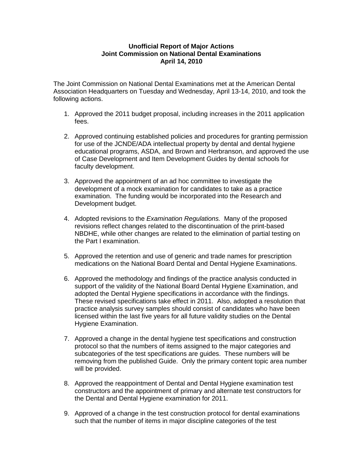## **Unofficial Report of Major Actions Joint Commission on National Dental Examinations April 14, 2010**

The Joint Commission on National Dental Examinations met at the American Dental Association Headquarters on Tuesday and Wednesday, April 13-14, 2010, and took the following actions.

- 1. Approved the 2011 budget proposal, including increases in the 2011 application fees.
- 2. Approved continuing established policies and procedures for granting permission for use of the JCNDE/ADA intellectual property by dental and dental hygiene educational programs, ASDA, and Brown and Herbranson, and approved the use of Case Development and Item Development Guides by dental schools for faculty development.
- 3. Approved the appointment of an ad hoc committee to investigate the development of a mock examination for candidates to take as a practice examination. The funding would be incorporated into the Research and Development budget.
- 4. Adopted revisions to the *Examination Regulations.* Many of the proposed revisions reflect changes related to the discontinuation of the print-based NBDHE, while other changes are related to the elimination of partial testing on the Part I examination.
- 5. Approved the retention and use of generic and trade names for prescription medications on the National Board Dental and Dental Hygiene Examinations.
- 6. Approved the methodology and findings of the practice analysis conducted in support of the validity of the National Board Dental Hygiene Examination, and adopted the Dental Hygiene specifications in accordance with the findings. These revised specifications take effect in 2011. Also, adopted a resolution that practice analysis survey samples should consist of candidates who have been licensed within the last five years for all future validity studies on the Dental Hygiene Examination.
- 7. Approved a change in the dental hygiene test specifications and construction protocol so that the numbers of items assigned to the major categories and subcategories of the test specifications are guides. These numbers will be removing from the published Guide. Only the primary content topic area number will be provided.
- 8. Approved the reappointment of Dental and Dental Hygiene examination test constructors and the appointment of primary and alternate test constructors for the Dental and Dental Hygiene examination for 2011.
- 9. Approved of a change in the test construction protocol for dental examinations such that the number of items in major discipline categories of the test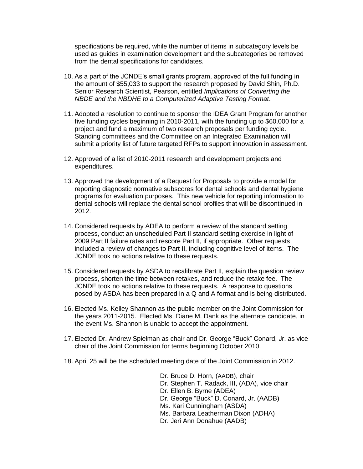specifications be required, while the number of items in subcategory levels be used as guides in examination development and the subcategories be removed from the dental specifications for candidates.

- 10. As a part of the JCNDE's small grants program, approved of the full funding in the amount of \$55,033 to support the research proposed by David Shin, Ph.D. Senior Research Scientist, Pearson, entitled *Implications of Converting the NBDE and the NBDHE to a Computerized Adaptive Testing Format*.
- 11. Adopted a resolution to continue to sponsor the IDEA Grant Program for another five funding cycles beginning in 2010-2011, with the funding up to \$60,000 for a project and fund a maximum of two research proposals per funding cycle. Standing committees and the Committee on an Integrated Examination will submit a priority list of future targeted RFPs to support innovation in assessment.
- 12. Approved of a list of 2010-2011 research and development projects and expenditures.
- 13. Approved the development of a Request for Proposals to provide a model for reporting diagnostic normative subscores for dental schools and dental hygiene programs for evaluation purposes. This new vehicle for reporting information to dental schools will replace the dental school profiles that will be discontinued in 2012.
- 14. Considered requests by ADEA to perform a review of the standard setting process, conduct an unscheduled Part II standard setting exercise in light of 2009 Part II failure rates and rescore Part II, if appropriate. Other requests included a review of changes to Part II, including cognitive level of items. The JCNDE took no actions relative to these requests.
- 15. Considered requests by ASDA to recalibrate Part II, explain the question review process, shorten the time between retakes, and reduce the retake fee. The JCNDE took no actions relative to these requests. A response to questions posed by ASDA has been prepared in a Q and A format and is being distributed.
- 16. Elected Ms. Kelley Shannon as the public member on the Joint Commission for the years 2011-2015. Elected Ms. Diane M. Dank as the alternate candidate, in the event Ms. Shannon is unable to accept the appointment.
- 17. Elected Dr. Andrew Spielman as chair and Dr. George "Buck" Conard, Jr. as vice chair of the Joint Commission for terms beginning October 2010.
- 18. April 25 will be the scheduled meeting date of the Joint Commission in 2012.

Dr. Bruce D. Horn, (AADB), chair Dr. Stephen T. Radack, III, (ADA), vice chair Dr. Ellen B. Byrne (ADEA) Dr. George "Buck" D. Conard, Jr. (AADB) Ms. Kari Cunningham (ASDA) Ms. Barbara Leatherman Dixon (ADHA) Dr. Jeri Ann Donahue (AADB)